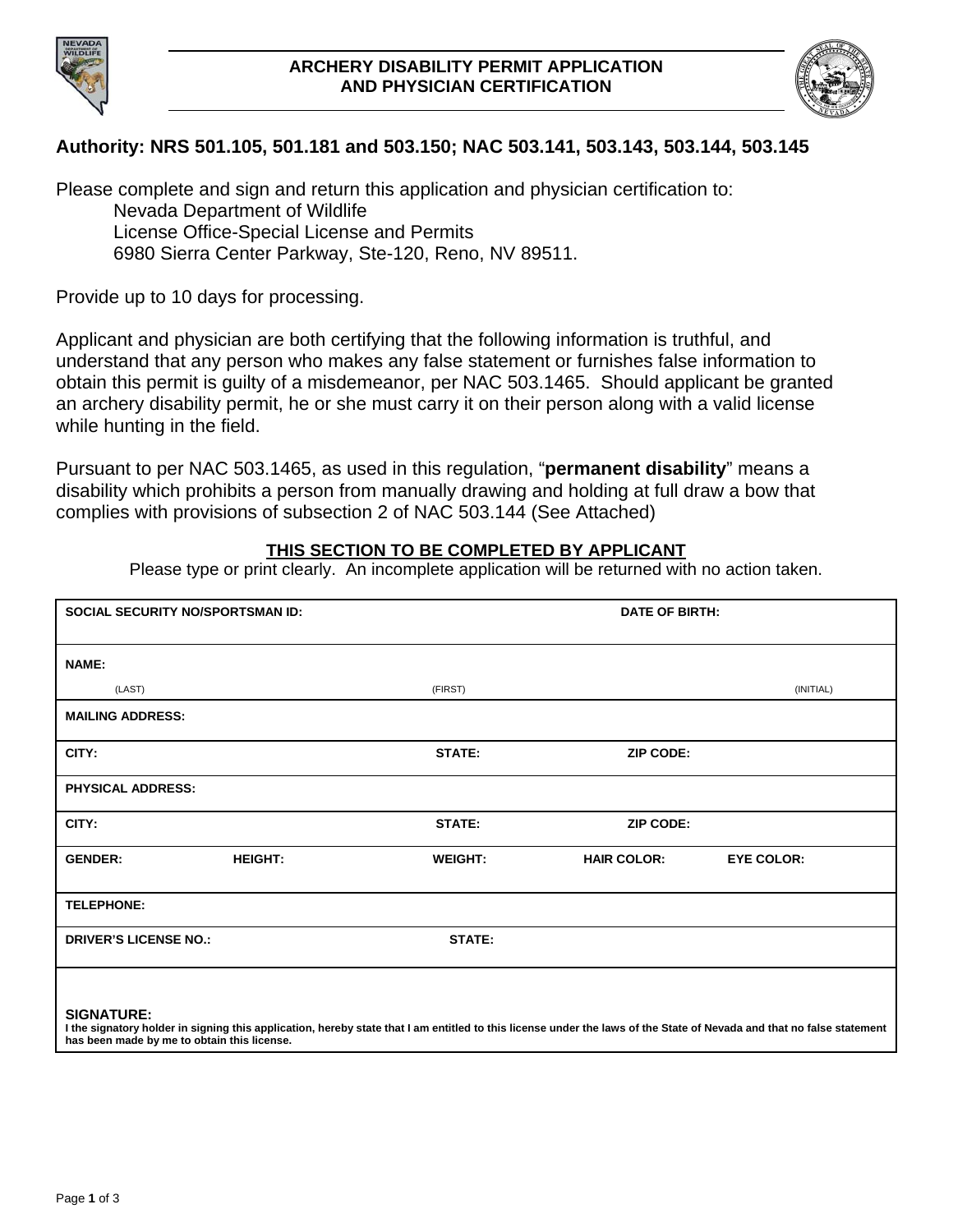



## **Authority: NRS 501.105, 501.181 and 503.150; NAC 503.141, 503.143, 503.144, 503.145**

Please complete and sign and return this application and physician certification to: Nevada Department of Wildlife License Office-Special License and Permits 6980 Sierra Center Parkway, Ste-120, Reno, NV 89511.

Provide up to 10 days for processing.

Applicant and physician are both certifying that the following information is truthful, and understand that any person who makes any false statement or furnishes false information to obtain this permit is guilty of a misdemeanor, per NAC 503.1465. Should applicant be granted an archery disability permit, he or she must carry it on their person along with a valid license while hunting in the field.

Pursuant to per NAC 503.1465, as used in this regulation, "**permanent disability**" means a disability which prohibits a person from manually drawing and holding at full draw a bow that complies with provisions of subsection 2 of NAC 503.144 (See Attached)

## **THIS SECTION TO BE COMPLETED BY APPLICANT**

Please type or print clearly. An incomplete application will be returned with no action taken.

|                              | <b>SOCIAL SECURITY NO/SPORTSMAN ID:</b> |                | <b>DATE OF BIRTH:</b> |                                                                                                                                                                       |  |
|------------------------------|-----------------------------------------|----------------|-----------------------|-----------------------------------------------------------------------------------------------------------------------------------------------------------------------|--|
| <b>NAME:</b>                 |                                         |                |                       |                                                                                                                                                                       |  |
| (LAST)                       |                                         | (FIRST)        |                       | (INITIAL)                                                                                                                                                             |  |
| <b>MAILING ADDRESS:</b>      |                                         |                |                       |                                                                                                                                                                       |  |
| CITY:                        |                                         | <b>STATE:</b>  | <b>ZIP CODE:</b>      |                                                                                                                                                                       |  |
| <b>PHYSICAL ADDRESS:</b>     |                                         |                |                       |                                                                                                                                                                       |  |
| CITY:                        |                                         | <b>STATE:</b>  | <b>ZIP CODE:</b>      |                                                                                                                                                                       |  |
| <b>GENDER:</b>               | <b>HEIGHT:</b>                          | <b>WEIGHT:</b> | <b>HAIR COLOR:</b>    | <b>EYE COLOR:</b>                                                                                                                                                     |  |
| <b>TELEPHONE:</b>            |                                         |                |                       |                                                                                                                                                                       |  |
| <b>DRIVER'S LICENSE NO.:</b> |                                         | <b>STATE:</b>  |                       |                                                                                                                                                                       |  |
| <b>SIGNATURE:</b>            |                                         |                |                       | I the signatory holder in signing this application, hereby state that I am entitled to this license under the laws of the State of Nevada and that no false statement |  |

**has been made by me to obtain this license.**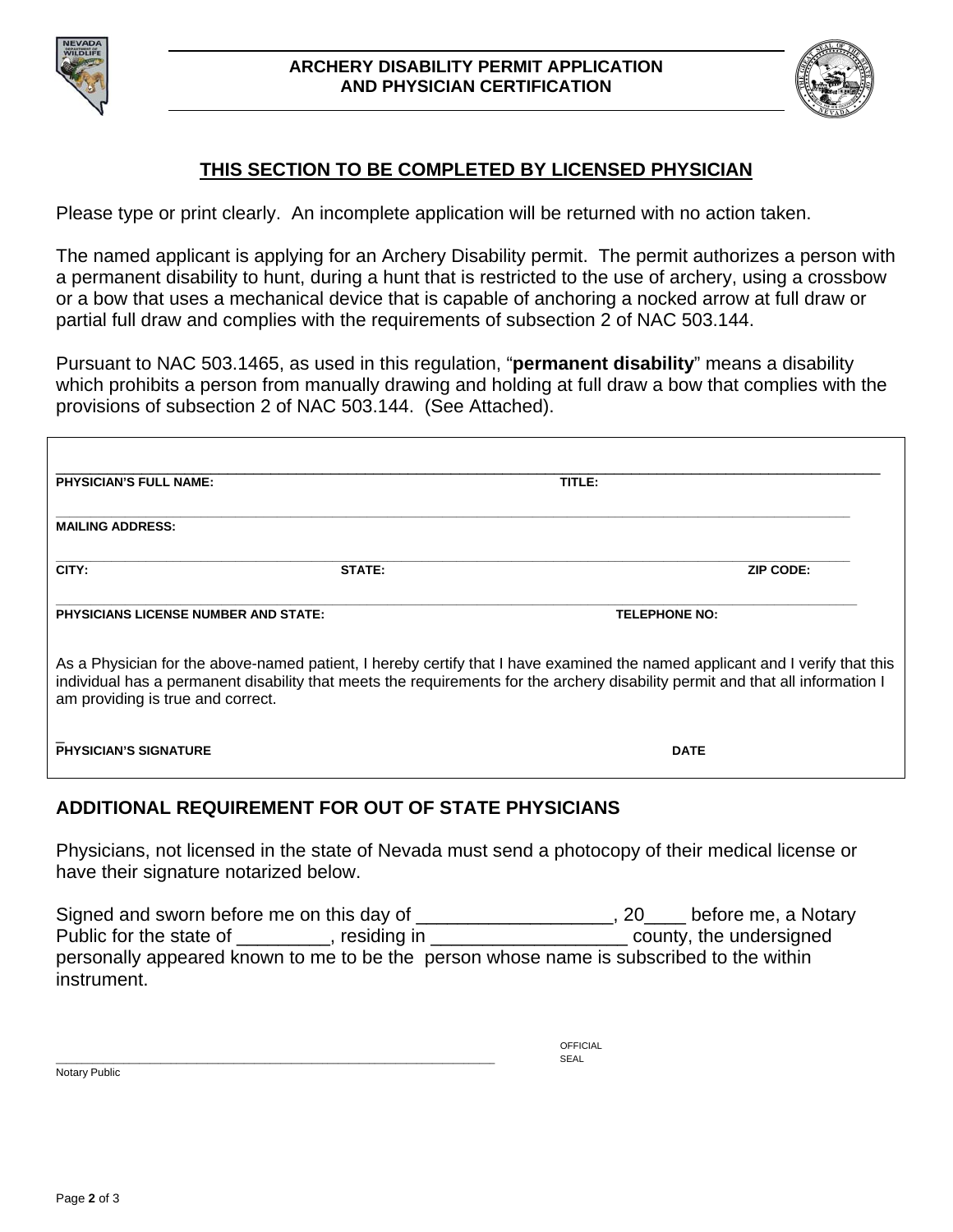



# **THIS SECTION TO BE COMPLETED BY LICENSED PHYSICIAN**

Please type or print clearly. An incomplete application will be returned with no action taken.

The named applicant is applying for an Archery Disability permit. The permit authorizes a person with a permanent disability to hunt, during a hunt that is restricted to the use of archery, using a crossbow or a bow that uses a mechanical device that is capable of anchoring a nocked arrow at full draw or partial full draw and complies with the requirements of subsection 2 of NAC 503.144.

Pursuant to NAC 503.1465, as used in this regulation, "**permanent disability**" means a disability which prohibits a person from manually drawing and holding at full draw a bow that complies with the provisions of subsection 2 of NAC 503.144. (See Attached).

| <b>PHYSICIAN'S FULL NAME:</b>                                       |        | TITLE:                                                                                                                                                                                                                                                         |  |
|---------------------------------------------------------------------|--------|----------------------------------------------------------------------------------------------------------------------------------------------------------------------------------------------------------------------------------------------------------------|--|
| <b>MAILING ADDRESS:</b>                                             |        |                                                                                                                                                                                                                                                                |  |
| CITY:                                                               | STATE: | <b>ZIP CODE:</b>                                                                                                                                                                                                                                               |  |
| <b>PHYSICIANS LICENSE NUMBER AND STATE:</b><br><b>TELEPHONE NO:</b> |        |                                                                                                                                                                                                                                                                |  |
| am providing is true and correct.                                   |        | As a Physician for the above-named patient, I hereby certify that I have examined the named applicant and I verify that this<br>individual has a permanent disability that meets the requirements for the archery disability permit and that all information I |  |
| <b>PHYSICIAN'S SIGNATURE</b>                                        |        | <b>DATE</b>                                                                                                                                                                                                                                                    |  |

# **ADDITIONAL REQUIREMENT FOR OUT OF STATE PHYSICIANS**

Physicians, not licensed in the state of Nevada must send a photocopy of their medical license or have their signature notarized below.

Signed and sworn before me on this day of \_\_\_\_\_\_\_\_\_\_\_\_\_\_\_\_\_\_\_\_\_, 20\_\_\_\_ before me, a Notary Public for the state of \_\_\_\_\_\_\_, residing in \_\_\_\_\_\_\_\_\_\_\_\_\_\_\_\_\_\_\_\_\_\_\_\_ county, the undersigned personally appeared known to me to be the person whose name is subscribed to the within instrument.

OFFICIAL \_\_\_\_\_\_\_\_\_\_\_\_\_\_\_\_\_\_\_\_\_\_\_\_\_\_\_\_\_\_\_\_\_\_\_\_\_\_\_\_\_\_\_\_\_\_\_\_\_\_\_\_\_\_\_\_\_\_\_\_\_\_\_\_\_\_\_\_\_\_\_\_\_\_\_\_\_\_\_\_\_\_\_\_ SEAL Notary Public